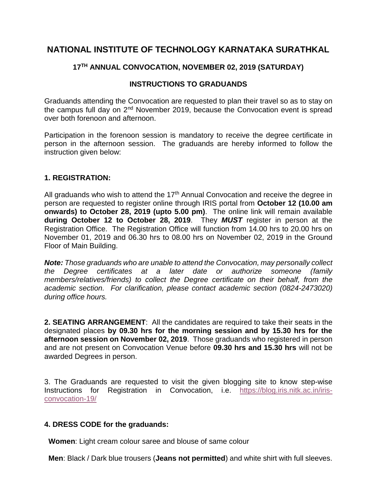# **NATIONAL INSTITUTE OF TECHNOLOGY KARNATAKA SURATHKAL**

# **17TH ANNUAL CONVOCATION, NOVEMBER 02, 2019 (SATURDAY)**

## **INSTRUCTIONS TO GRADUANDS**

Graduands attending the Convocation are requested to plan their travel so as to stay on the campus full day on 2<sup>nd</sup> November 2019, because the Convocation event is spread over both forenoon and afternoon.

Participation in the forenoon session is mandatory to receive the degree certificate in person in the afternoon session. The graduands are hereby informed to follow the instruction given below:

#### **1. REGISTRATION:**

All graduands who wish to attend the 17<sup>th</sup> Annual Convocation and receive the degree in person are requested to register online through IRIS portal from **October 12 (10.00 am onwards) to October 28, 2019 (upto 5.00 pm)**. The online link will remain available **during October 12 to October 28, 2019**. They *MUST* register in person at the Registration Office. The Registration Office will function from 14.00 hrs to 20.00 hrs on November 01, 2019 and 06.30 hrs to 08.00 hrs on November 02, 2019 in the Ground Floor of Main Building.

*Note: Those graduands who are unable to attend the Convocation, may personally collect the Degree certificates at a later date or authorize someone (family members/relatives/friends) to collect the Degree certificate on their behalf, from the academic section. For clarification, please contact academic section (0824-2473020) during office hours.*

**2. SEATING ARRANGEMENT**: All the candidates are required to take their seats in the designated places **by 09.30 hrs for the morning session and by 15.30 hrs for the afternoon session on November 02, 2019**. Those graduands who registered in person and are not present on Convocation Venue before **09.30 hrs and 15.30 hrs** will not be awarded Degrees in person.

3. The Graduands are requested to visit the given blogging site to know step-wise Instructions for Registration in Convocation, i.e. [https://blog.iris.nitk.ac.in/iris](https://blog.iris.nitk.ac.in/iris-convocation-19/)[convocation-19/](https://blog.iris.nitk.ac.in/iris-convocation-19/)

#### **4. DRESS CODE for the graduands:**

 **Women**: Light cream colour saree and blouse of same colour

 **Men**: Black / Dark blue trousers (**Jeans not permitted**) and white shirt with full sleeves.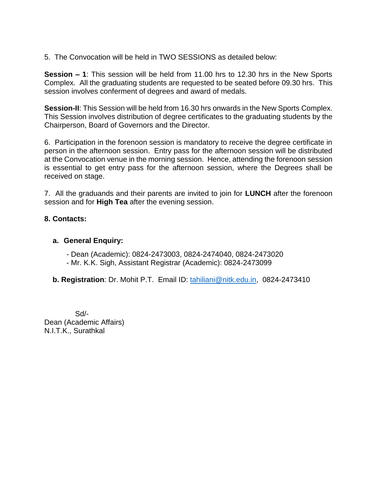5. The Convocation will be held in TWO SESSIONS as detailed below:

**Session – 1**: This session will be held from 11.00 hrs to 12.30 hrs in the New Sports Complex. All the graduating students are requested to be seated before 09.30 hrs. This session involves conferment of degrees and award of medals.

**Session-II**: This Session will be held from 16.30 hrs onwards in the New Sports Complex. This Session involves distribution of degree certificates to the graduating students by the Chairperson, Board of Governors and the Director.

6. Participation in the forenoon session is mandatory to receive the degree certificate in person in the afternoon session. Entry pass for the afternoon session will be distributed at the Convocation venue in the morning session. Hence, attending the forenoon session is essential to get entry pass for the afternoon session, where the Degrees shall be received on stage.

7. All the graduands and their parents are invited to join for **LUNCH** after the forenoon session and for **High Tea** after the evening session.

### **8. Contacts:**

#### **a. General Enquiry:**

- Dean (Academic): 0824-2473003, 0824-2474040, 0824-2473020
- Mr. K.K. Sigh, Assistant Registrar (Academic): 0824-2473099
- **b. Registration**: Dr. Mohit P.T. Email ID: [tahiliani@nitk.edu.in,](mailto:tahiliani@nitk.edu.in) 0824-2473410

 Sd/- Dean (Academic Affairs) N.I.T.K., Surathkal